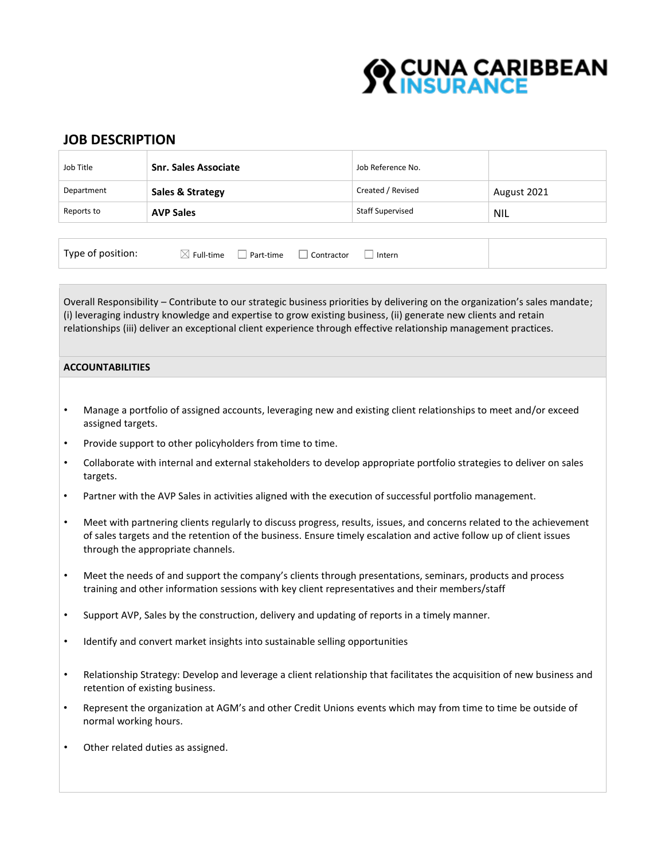

# **JOB DESCRIPTION**

| Job Title  | <b>Snr. Sales Associate</b> | Job Reference No.       |             |
|------------|-----------------------------|-------------------------|-------------|
| Department | Sales & Strategy            | Created / Revised       | August 2021 |
| Reports to | <b>AVP Sales</b>            | <b>Staff Supervised</b> | NIL         |
|            |                             |                         |             |

|  |  |  |  |  | Intern |  |  |  |  |  |
|--|--|--|--|--|--------|--|--|--|--|--|
|  |  |  |  |  |        |  |  |  |  |  |
|  |  |  |  |  |        |  |  |  |  |  |
|  |  |  |  |  |        |  |  |  |  |  |
|  |  |  |  |  |        |  |  |  |  |  |
|  |  |  |  |  |        |  |  |  |  |  |
|  |  |  |  |  |        |  |  |  |  |  |
|  |  |  |  |  |        |  |  |  |  |  |
|  |  |  |  |  |        |  |  |  |  |  |
|  |  |  |  |  |        |  |  |  |  |  |
|  |  |  |  |  |        |  |  |  |  |  |
|  |  |  |  |  |        |  |  |  |  |  |
|  |  |  |  |  |        |  |  |  |  |  |
|  |  |  |  |  |        |  |  |  |  |  |
|  |  |  |  |  |        |  |  |  |  |  |
|  |  |  |  |  |        |  |  |  |  |  |
|  |  |  |  |  |        |  |  |  |  |  |
|  |  |  |  |  |        |  |  |  |  |  |
|  |  |  |  |  |        |  |  |  |  |  |
|  |  |  |  |  |        |  |  |  |  |  |
|  |  |  |  |  |        |  |  |  |  |  |
|  |  |  |  |  |        |  |  |  |  |  |
|  |  |  |  |  |        |  |  |  |  |  |
|  |  |  |  |  |        |  |  |  |  |  |
|  |  |  |  |  |        |  |  |  |  |  |
|  |  |  |  |  |        |  |  |  |  |  |
|  |  |  |  |  |        |  |  |  |  |  |
|  |  |  |  |  |        |  |  |  |  |  |
|  |  |  |  |  |        |  |  |  |  |  |
|  |  |  |  |  |        |  |  |  |  |  |
|  |  |  |  |  |        |  |  |  |  |  |
|  |  |  |  |  |        |  |  |  |  |  |
|  |  |  |  |  |        |  |  |  |  |  |
|  |  |  |  |  |        |  |  |  |  |  |
|  |  |  |  |  |        |  |  |  |  |  |
|  |  |  |  |  |        |  |  |  |  |  |
|  |  |  |  |  |        |  |  |  |  |  |
|  |  |  |  |  |        |  |  |  |  |  |
|  |  |  |  |  |        |  |  |  |  |  |
|  |  |  |  |  |        |  |  |  |  |  |
|  |  |  |  |  |        |  |  |  |  |  |
|  |  |  |  |  |        |  |  |  |  |  |
|  |  |  |  |  |        |  |  |  |  |  |
|  |  |  |  |  |        |  |  |  |  |  |
|  |  |  |  |  |        |  |  |  |  |  |
|  |  |  |  |  |        |  |  |  |  |  |
|  |  |  |  |  |        |  |  |  |  |  |
|  |  |  |  |  |        |  |  |  |  |  |
|  |  |  |  |  |        |  |  |  |  |  |
|  |  |  |  |  |        |  |  |  |  |  |
|  |  |  |  |  |        |  |  |  |  |  |
|  |  |  |  |  |        |  |  |  |  |  |
|  |  |  |  |  |        |  |  |  |  |  |
|  |  |  |  |  |        |  |  |  |  |  |
|  |  |  |  |  |        |  |  |  |  |  |
|  |  |  |  |  |        |  |  |  |  |  |
|  |  |  |  |  |        |  |  |  |  |  |
|  |  |  |  |  |        |  |  |  |  |  |
|  |  |  |  |  |        |  |  |  |  |  |
|  |  |  |  |  |        |  |  |  |  |  |
|  |  |  |  |  |        |  |  |  |  |  |
|  |  |  |  |  |        |  |  |  |  |  |
|  |  |  |  |  |        |  |  |  |  |  |
|  |  |  |  |  |        |  |  |  |  |  |
|  |  |  |  |  |        |  |  |  |  |  |
|  |  |  |  |  |        |  |  |  |  |  |
|  |  |  |  |  |        |  |  |  |  |  |
|  |  |  |  |  |        |  |  |  |  |  |
|  |  |  |  |  |        |  |  |  |  |  |
|  |  |  |  |  |        |  |  |  |  |  |
|  |  |  |  |  |        |  |  |  |  |  |
|  |  |  |  |  |        |  |  |  |  |  |
|  |  |  |  |  |        |  |  |  |  |  |
|  |  |  |  |  |        |  |  |  |  |  |
|  |  |  |  |  |        |  |  |  |  |  |
|  |  |  |  |  |        |  |  |  |  |  |
|  |  |  |  |  |        |  |  |  |  |  |
|  |  |  |  |  |        |  |  |  |  |  |
|  |  |  |  |  |        |  |  |  |  |  |
|  |  |  |  |  |        |  |  |  |  |  |
|  |  |  |  |  |        |  |  |  |  |  |
|  |  |  |  |  |        |  |  |  |  |  |
|  |  |  |  |  |        |  |  |  |  |  |
|  |  |  |  |  |        |  |  |  |  |  |
|  |  |  |  |  |        |  |  |  |  |  |
|  |  |  |  |  |        |  |  |  |  |  |
|  |  |  |  |  |        |  |  |  |  |  |
|  |  |  |  |  |        |  |  |  |  |  |
|  |  |  |  |  |        |  |  |  |  |  |
|  |  |  |  |  |        |  |  |  |  |  |
|  |  |  |  |  |        |  |  |  |  |  |
|  |  |  |  |  |        |  |  |  |  |  |
|  |  |  |  |  |        |  |  |  |  |  |
|  |  |  |  |  |        |  |  |  |  |  |
|  |  |  |  |  |        |  |  |  |  |  |
|  |  |  |  |  |        |  |  |  |  |  |
|  |  |  |  |  |        |  |  |  |  |  |
|  |  |  |  |  |        |  |  |  |  |  |
|  |  |  |  |  |        |  |  |  |  |  |
|  |  |  |  |  |        |  |  |  |  |  |
|  |  |  |  |  |        |  |  |  |  |  |
|  |  |  |  |  |        |  |  |  |  |  |
|  |  |  |  |  |        |  |  |  |  |  |
|  |  |  |  |  |        |  |  |  |  |  |
|  |  |  |  |  |        |  |  |  |  |  |
|  |  |  |  |  |        |  |  |  |  |  |
|  |  |  |  |  |        |  |  |  |  |  |
|  |  |  |  |  |        |  |  |  |  |  |
|  |  |  |  |  |        |  |  |  |  |  |
|  |  |  |  |  |        |  |  |  |  |  |
|  |  |  |  |  |        |  |  |  |  |  |
|  |  |  |  |  |        |  |  |  |  |  |
|  |  |  |  |  |        |  |  |  |  |  |
|  |  |  |  |  |        |  |  |  |  |  |
|  |  |  |  |  |        |  |  |  |  |  |
|  |  |  |  |  |        |  |  |  |  |  |
|  |  |  |  |  |        |  |  |  |  |  |
|  |  |  |  |  |        |  |  |  |  |  |
|  |  |  |  |  |        |  |  |  |  |  |
|  |  |  |  |  |        |  |  |  |  |  |
|  |  |  |  |  |        |  |  |  |  |  |
|  |  |  |  |  |        |  |  |  |  |  |
|  |  |  |  |  |        |  |  |  |  |  |
|  |  |  |  |  |        |  |  |  |  |  |
|  |  |  |  |  |        |  |  |  |  |  |
|  |  |  |  |  |        |  |  |  |  |  |
|  |  |  |  |  |        |  |  |  |  |  |
|  |  |  |  |  |        |  |  |  |  |  |

Overall Responsibility – Contribute to our strategic business priorities by delivering on the organization's sales mandate; (i) leveraging industry knowledge and expertise to grow existing business, (ii) generate new clients and retain relationships (iii) deliver an exceptional client experience through effective relationship management practices.

## **ACCOUNTABILITIES**

- Manage a portfolio of assigned accounts, leveraging new and existing client relationships to meet and/or exceed assigned targets.
- Provide support to other policyholders from time to time.
- Collaborate with internal and external stakeholders to develop appropriate portfolio strategies to deliver on sales targets.
- Partner with the AVP Sales in activities aligned with the execution of successful portfolio management.
- Meet with partnering clients regularly to discuss progress, results, issues, and concerns related to the achievement of sales targets and the retention of the business. Ensure timely escalation and active follow up of client issues through the appropriate channels.
- Meet the needs of and support the company's clients through presentations, seminars, products and process training and other information sessions with key client representatives and their members/staff
- Support AVP, Sales by the construction, delivery and updating of reports in a timely manner.
- Identify and convert market insights into sustainable selling opportunities
- Relationship Strategy: Develop and leverage a client relationship that facilitates the acquisition of new business and retention of existing business.
- Represent the organization at AGM's and other Credit Unions events which may from time to time be outside of normal working hours.
- Other related duties as assigned.